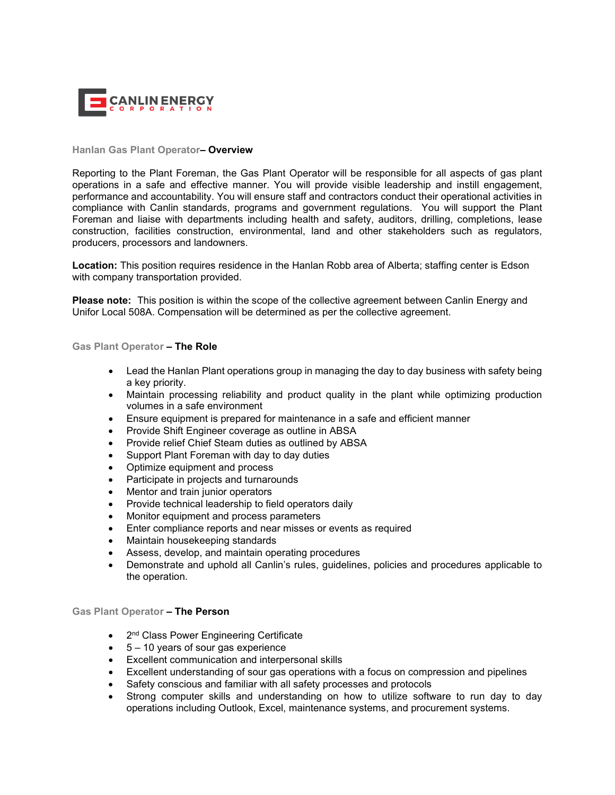

## **Hanlan Gas Plant Operator– Overview**

Reporting to the Plant Foreman, the Gas Plant Operator will be responsible for all aspects of gas plant operations in a safe and effective manner. You will provide visible leadership and instill engagement, performance and accountability. You will ensure staff and contractors conduct their operational activities in compliance with Canlin standards, programs and government regulations. You will support the Plant Foreman and liaise with departments including health and safety, auditors, drilling, completions, lease construction, facilities construction, environmental, land and other stakeholders such as regulators, producers, processors and landowners.

**Location:** This position requires residence in the Hanlan Robb area of Alberta; staffing center is Edson with company transportation provided.

**Please note:** This position is within the scope of the collective agreement between Canlin Energy and Unifor Local 508A. Compensation will be determined as per the collective agreement.

## **Gas Plant Operator – The Role**

- Lead the Hanlan Plant operations group in managing the day to day business with safety being a key priority.
- Maintain processing reliability and product quality in the plant while optimizing production volumes in a safe environment
- Ensure equipment is prepared for maintenance in a safe and efficient manner
- Provide Shift Engineer coverage as outline in ABSA
- Provide relief Chief Steam duties as outlined by ABSA
- Support Plant Foreman with day to day duties
- Optimize equipment and process
- Participate in projects and turnarounds
- Mentor and train junior operators
- Provide technical leadership to field operators daily
- Monitor equipment and process parameters
- Enter compliance reports and near misses or events as required
- Maintain housekeeping standards
- Assess, develop, and maintain operating procedures
- Demonstrate and uphold all Canlin's rules, guidelines, policies and procedures applicable to the operation.

## **Gas Plant Operator – The Person**

- 2<sup>nd</sup> Class Power Engineering Certificate
- 5 10 years of sour gas experience
- Excellent communication and interpersonal skills
- Excellent understanding of sour gas operations with a focus on compression and pipelines
- Safety conscious and familiar with all safety processes and protocols
- Strong computer skills and understanding on how to utilize software to run day to day operations including Outlook, Excel, maintenance systems, and procurement systems.